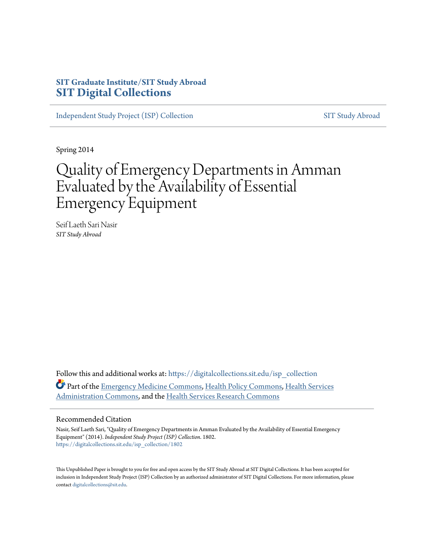## **SIT Graduate Institute/SIT Study Abroad [SIT Digital Collections](https://digitalcollections.sit.edu?utm_source=digitalcollections.sit.edu%2Fisp_collection%2F1802&utm_medium=PDF&utm_campaign=PDFCoverPages)**

[Independent Study Project \(ISP\) Collection](https://digitalcollections.sit.edu/isp_collection?utm_source=digitalcollections.sit.edu%2Fisp_collection%2F1802&utm_medium=PDF&utm_campaign=PDFCoverPages) [SIT Study Abroad](https://digitalcollections.sit.edu/study_abroad?utm_source=digitalcollections.sit.edu%2Fisp_collection%2F1802&utm_medium=PDF&utm_campaign=PDFCoverPages)

Spring 2014

# Quality of Emergency Departments in Amman Evaluated by the Availability of Essential Emergency Equipment

Seif Laeth Sari Nasir *SIT Study Abroad*

Follow this and additional works at: [https://digitalcollections.sit.edu/isp\\_collection](https://digitalcollections.sit.edu/isp_collection?utm_source=digitalcollections.sit.edu%2Fisp_collection%2F1802&utm_medium=PDF&utm_campaign=PDFCoverPages) Part of the [Emergency Medicine Commons,](http://network.bepress.com/hgg/discipline/685?utm_source=digitalcollections.sit.edu%2Fisp_collection%2F1802&utm_medium=PDF&utm_campaign=PDFCoverPages) [Health Policy Commons](http://network.bepress.com/hgg/discipline/395?utm_source=digitalcollections.sit.edu%2Fisp_collection%2F1802&utm_medium=PDF&utm_campaign=PDFCoverPages), [Health Services](http://network.bepress.com/hgg/discipline/747?utm_source=digitalcollections.sit.edu%2Fisp_collection%2F1802&utm_medium=PDF&utm_campaign=PDFCoverPages) [Administration Commons,](http://network.bepress.com/hgg/discipline/747?utm_source=digitalcollections.sit.edu%2Fisp_collection%2F1802&utm_medium=PDF&utm_campaign=PDFCoverPages) and the [Health Services Research Commons](http://network.bepress.com/hgg/discipline/816?utm_source=digitalcollections.sit.edu%2Fisp_collection%2F1802&utm_medium=PDF&utm_campaign=PDFCoverPages)

#### Recommended Citation

Nasir, Seif Laeth Sari, "Quality of Emergency Departments in Amman Evaluated by the Availability of Essential Emergency Equipment" (2014). *Independent Study Project (ISP) Collection*. 1802. [https://digitalcollections.sit.edu/isp\\_collection/1802](https://digitalcollections.sit.edu/isp_collection/1802?utm_source=digitalcollections.sit.edu%2Fisp_collection%2F1802&utm_medium=PDF&utm_campaign=PDFCoverPages)

This Unpublished Paper is brought to you for free and open access by the SIT Study Abroad at SIT Digital Collections. It has been accepted for inclusion in Independent Study Project (ISP) Collection by an authorized administrator of SIT Digital Collections. For more information, please contact [digitalcollections@sit.edu](mailto:digitalcollections@sit.edu).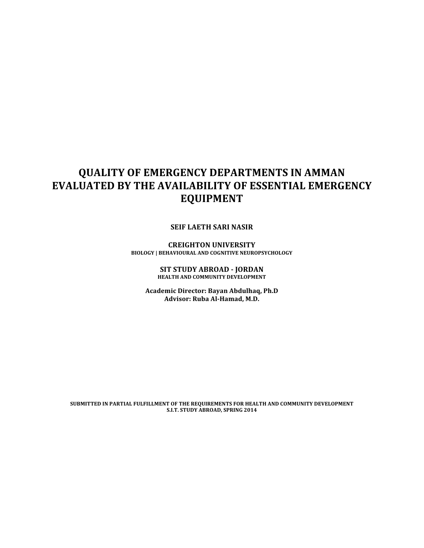## **QUALITY OF EMERGENCY DEPARTMENTS IN AMMAN EVALUATED BY THE AVAILABILITY OF ESSENTIAL EMERGENCY EQUIPMENT**

**SEIF LAETH SARI NASIR** 

**CREIGHTON UNIVERSITY BIOLOGY | BEHAVIOURAL AND COGNITIVE NEUROPSYCHOLOGY** 

> **SIT STUDY ABROAD - JORDAN HEALTH AND COMMUNITY DEVELOPMENT**

**Academic Director: Bayan Abdulhaq, Ph.D** Advisor: Ruba Al-Hamad, M.D.

SUBMITTED IN PARTIAL FULFILLMENT OF THE REQUIREMENTS FOR HEALTH AND COMMUNITY DEVELOPMENT **S.I.T. STUDY ABROAD, SPRING 2014**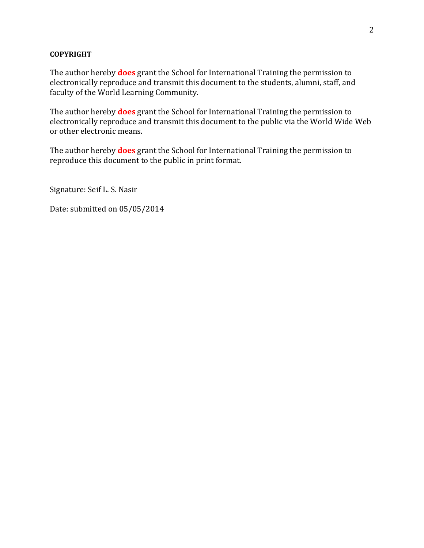#### **COPYRIGHT**

The author hereby **does** grant the School for International Training the permission to electronically reproduce and transmit this document to the students, alumni, staff, and faculty of the World Learning Community.

The author hereby **does** grant the School for International Training the permission to electronically reproduce and transmit this document to the public via the World Wide Web or other electronic means.

The author hereby **does** grant the School for International Training the permission to reproduce this document to the public in print format.

Signature: Seif L. S. Nasir

Date: submitted on 05/05/2014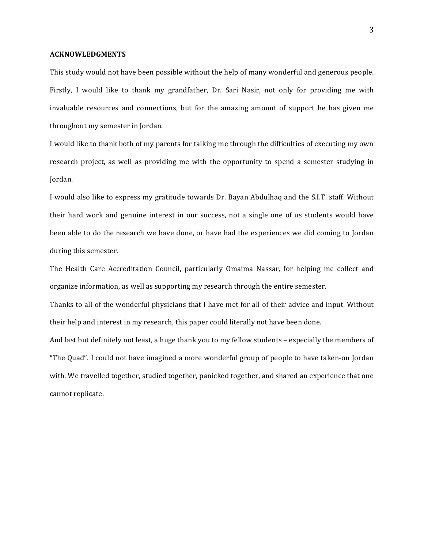#### **ACKNOWLEDGMENTS**

This study would not have been possible without the help of many wonderful and generous people. Firstly, I would like to thank my grandfather, Dr. Sari Nasir, not only for providing me with invaluable resources and connections, but for the amazing amount of support he has given me throughout my semester in Jordan.

I would like to thank both of my parents for talking me through the difficulties of executing my own research project, as well as providing me with the opportunity to spend a semester studying in Jordan. 

I would also like to express my gratitude towards Dr. Bayan Abdulhaq and the S.I.T. staff. Without their hard work and genuine interest in our success, not a single one of us students would have been able to do the research we have done, or have had the experiences we did coming to Jordan during this semester.

The Health Care Accreditation Council, particularly Omaima Nassar, for helping me collect and organize information, as well as supporting my research through the entire semester.

Thanks to all of the wonderful physicians that I have met for all of their advice and input. Without their help and interest in my research, this paper could literally not have been done.

And last but definitely not least, a huge thank you to my fellow students – especially the members of "The Quad". I could not have imagined a more wonderful group of people to have taken-on Jordan with. We travelled together, studied together, panicked together, and shared an experience that one cannot replicate.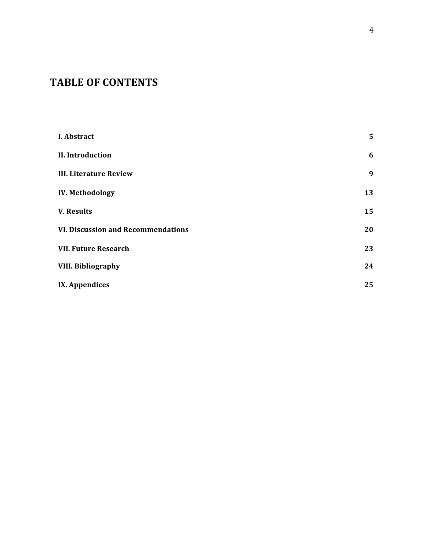## **TABLE OF CONTENTS**

| I. Abstract                               | 5  |
|-------------------------------------------|----|
| <b>II.</b> Introduction                   | 6  |
| <b>III. Literature Review</b>             | 9  |
| <b>IV. Methodology</b>                    | 13 |
| <b>V. Results</b>                         | 15 |
| <b>VI. Discussion and Recommendations</b> | 20 |
| <b>VII. Future Research</b>               | 23 |
| <b>VIII. Bibliography</b>                 | 24 |
| IX. Appendices                            | 25 |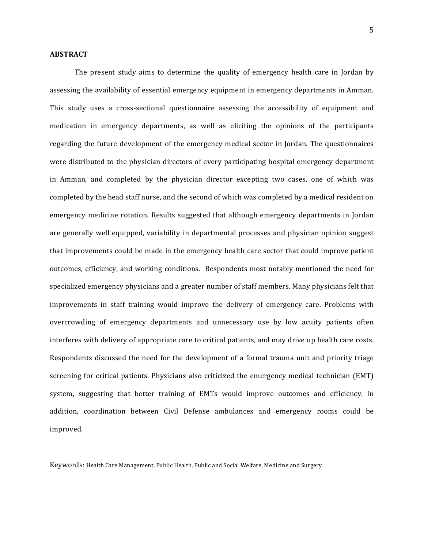#### **ABSTRACT**

The present study aims to determine the quality of emergency health care in Jordan by assessing the availability of essential emergency equipment in emergency departments in Amman. This study uses a cross-sectional questionnaire assessing the accessibility of equipment and medication in emergency departments, as well as eliciting the opinions of the participants regarding the future development of the emergency medical sector in Jordan. The questionnaires were distributed to the physician directors of every participating hospital emergency department in Amman, and completed by the physician director excepting two cases, one of which was completed by the head staff nurse, and the second of which was completed by a medical resident on emergency medicine rotation. Results suggested that although emergency departments in Jordan are generally well equipped, variability in departmental processes and physician opinion suggest that improvements could be made in the emergency health care sector that could improve patient outcomes, efficiency, and working conditions. Respondents most notably mentioned the need for specialized emergency physicians and a greater number of staff members. Many physicians felt that improvements in staff training would improve the delivery of emergency care. Problems with overcrowding of emergency departments and unnecessary use by low acuity patients often interferes with delivery of appropriate care to critical patients, and may drive up health care costs. Respondents discussed the need for the development of a formal trauma unit and priority triage screening for critical patients. Physicians also criticized the emergency medical technician (EMT) system, suggesting that better training of EMTs would improve outcomes and efficiency. In addition, coordination between Civil Defense ambulances and emergency rooms could be improved. 

Keywords: Health Care Management, Public Health, Public and Social Welfare, Medicine and Surgery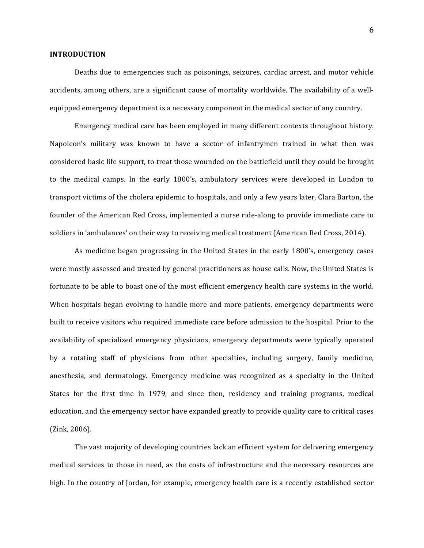#### **INTRODUCTION**

Deaths due to emergencies such as poisonings, seizures, cardiac arrest, and motor vehicle accidents, among others, are a significant cause of mortality worldwide. The availability of a wellequipped emergency department is a necessary component in the medical sector of any country.

Emergency medical care has been employed in many different contexts throughout history. Napoleon's military was known to have a sector of infantrymen trained in what then was considered basic life support, to treat those wounded on the battlefield until they could be brought to the medical camps. In the early 1800's, ambulatory services were developed in London to transport victims of the cholera epidemic to hospitals, and only a few years later, Clara Barton, the founder of the American Red Cross, implemented a nurse ride-along to provide immediate care to soldiers in 'ambulances' on their way to receiving medical treatment (American Red Cross, 2014).

As medicine began progressing in the United States in the early 1800's, emergency cases were mostly assessed and treated by general practitioners as house calls. Now, the United States is fortunate to be able to boast one of the most efficient emergency health care systems in the world. When hospitals began evolving to handle more and more patients, emergency departments were built to receive visitors who required immediate care before admission to the hospital. Prior to the availability of specialized emergency physicians, emergency departments were typically operated by a rotating staff of physicians from other specialties, including surgery, family medicine, anesthesia, and dermatology. Emergency medicine was recognized as a specialty in the United States for the first time in 1979, and since then, residency and training programs, medical education, and the emergency sector have expanded greatly to provide quality care to critical cases  $(Zink, 2006)$ .

The vast majority of developing countries lack an efficient system for delivering emergency medical services to those in need, as the costs of infrastructure and the necessary resources are high. In the country of Jordan, for example, emergency health care is a recently established sector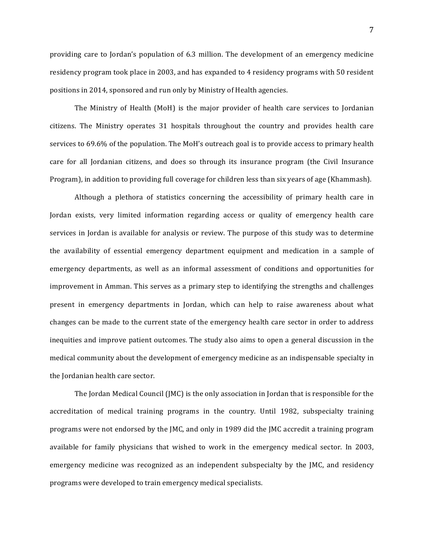providing care to Jordan's population of 6.3 million. The development of an emergency medicine residency program took place in 2003, and has expanded to 4 residency programs with 50 resident positions in 2014, sponsored and run only by Ministry of Health agencies.

The Ministry of Health (MoH) is the major provider of health care services to Jordanian citizens. The Ministry operates 31 hospitals throughout the country and provides health care services to 69.6% of the population. The MoH's outreach goal is to provide access to primary health care for all Jordanian citizens, and does so through its insurance program (the Civil Insurance Program), in addition to providing full coverage for children less than six years of age (Khammash).

Although a plethora of statistics concerning the accessibility of primary health care in Jordan exists, very limited information regarding access or quality of emergency health care services in Jordan is available for analysis or review. The purpose of this study was to determine the availability of essential emergency department equipment and medication in a sample of emergency departments, as well as an informal assessment of conditions and opportunities for improvement in Amman. This serves as a primary step to identifying the strengths and challenges present in emergency departments in Jordan, which can help to raise awareness about what changes can be made to the current state of the emergency health care sector in order to address inequities and improve patient outcomes. The study also aims to open a general discussion in the medical community about the development of emergency medicine as an indispensable specialty in the Jordanian health care sector.

The Jordan Medical Council (JMC) is the only association in Jordan that is responsible for the accreditation of medical training programs in the country. Until 1982, subspecialty training programs were not endorsed by the JMC, and only in 1989 did the JMC accredit a training program available for family physicians that wished to work in the emergency medical sector. In 2003, emergency medicine was recognized as an independent subspecialty by the JMC, and residency programs were developed to train emergency medical specialists.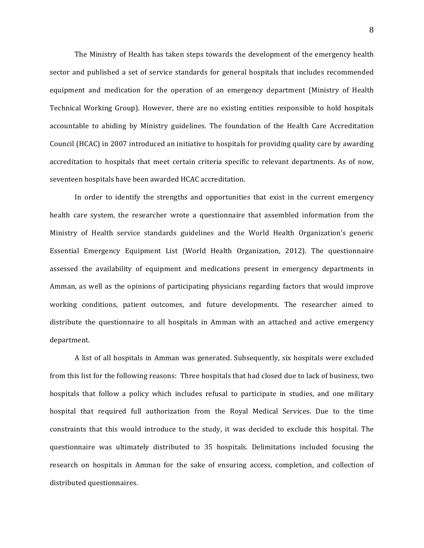The Ministry of Health has taken steps towards the development of the emergency health sector and published a set of service standards for general hospitals that includes recommended equipment and medication for the operation of an emergency department (Ministry of Health Technical Working Group). However, there are no existing entities responsible to hold hospitals accountable to abiding by Ministry guidelines. The foundation of the Health Care Accreditation Council (HCAC) in 2007 introduced an initiative to hospitals for providing quality care by awarding accreditation to hospitals that meet certain criteria specific to relevant departments. As of now, seventeen hospitals have been awarded HCAC accreditation.

In order to identify the strengths and opportunities that exist in the current emergency health care system, the researcher wrote a questionnaire that assembled information from the Ministry of Health service standards guidelines and the World Health Organization's generic Essential Emergency Equipment List (World Health Organization, 2012). The questionnaire assessed the availability of equipment and medications present in emergency departments in Amman, as well as the opinions of participating physicians regarding factors that would improve working conditions, patient outcomes, and future developments. The researcher aimed to distribute the questionnaire to all hospitals in Amman with an attached and active emergency department.

A list of all hospitals in Amman was generated. Subsequently, six hospitals were excluded from this list for the following reasons: Three hospitals that had closed due to lack of business, two hospitals that follow a policy which includes refusal to participate in studies, and one military hospital that required full authorization from the Royal Medical Services. Due to the time constraints that this would introduce to the study, it was decided to exclude this hospital. The questionnaire was ultimately distributed to 35 hospitals. Delimitations included focusing the research on hospitals in Amman for the sake of ensuring access, completion, and collection of distributed questionnaires.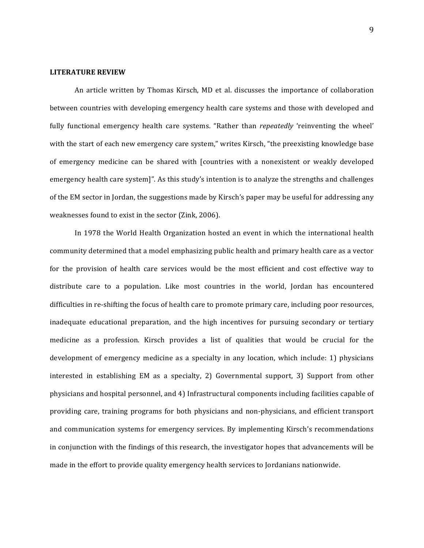#### **LITERATURE REVIEW**

An article written by Thomas Kirsch, MD et al. discusses the importance of collaboration between countries with developing emergency health care systems and those with developed and fully functional emergency health care systems. "Rather than *repeatedly* 'reinventing the wheel' with the start of each new emergency care system," writes Kirsch, "the preexisting knowledge base of emergency medicine can be shared with [countries with a nonexistent or weakly developed emergency health care system]". As this study's intention is to analyze the strengths and challenges of the EM sector in Jordan, the suggestions made by Kirsch's paper may be useful for addressing any weaknesses found to exist in the sector (Zink, 2006).

In 1978 the World Health Organization hosted an event in which the international health community determined that a model emphasizing public health and primary health care as a vector for the provision of health care services would be the most efficient and cost effective way to distribute care to a population. Like most countries in the world, Jordan has encountered difficulties in re-shifting the focus of health care to promote primary care, including poor resources, inadequate educational preparation, and the high incentives for pursuing secondary or tertiary medicine as a profession. Kirsch provides a list of qualities that would be crucial for the development of emergency medicine as a specialty in any location, which include: 1) physicians interested in establishing EM as a specialty, 2) Governmental support, 3) Support from other physicians and hospital personnel, and 4) Infrastructural components including facilities capable of providing care, training programs for both physicians and non-physicians, and efficient transport and communication systems for emergency services. By implementing Kirsch's recommendations in conjunction with the findings of this research, the investigator hopes that advancements will be made in the effort to provide quality emergency health services to Jordanians nationwide.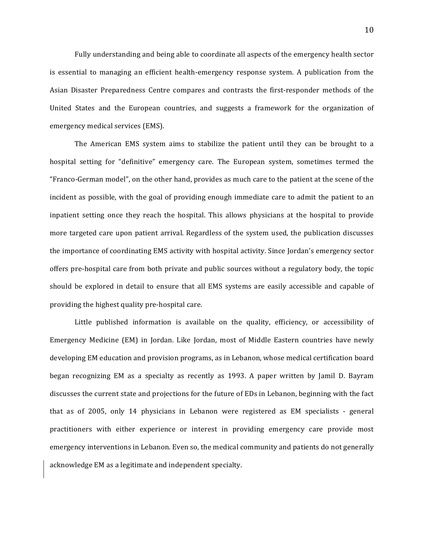Fully understanding and being able to coordinate all aspects of the emergency health sector is essential to managing an efficient health-emergency response system. A publication from the Asian Disaster Preparedness Centre compares and contrasts the first-responder methods of the United States and the European countries, and suggests a framework for the organization of emergency medical services (EMS).

The American EMS system aims to stabilize the patient until they can be brought to a hospital setting for "definitive" emergency care. The European system, sometimes termed the "Franco-German model", on the other hand, provides as much care to the patient at the scene of the incident as possible, with the goal of providing enough immediate care to admit the patient to an inpatient setting once they reach the hospital. This allows physicians at the hospital to provide more targeted care upon patient arrival. Regardless of the system used, the publication discusses the importance of coordinating EMS activity with hospital activity. Since Jordan's emergency sector offers pre-hospital care from both private and public sources without a regulatory body, the topic should be explored in detail to ensure that all EMS systems are easily accessible and capable of providing the highest quality pre-hospital care.

Little published information is available on the quality, efficiency, or accessibility of Emergency Medicine (EM) in Jordan. Like Jordan, most of Middle Eastern countries have newly developing EM education and provision programs, as in Lebanon, whose medical certification board began recognizing EM as a specialty as recently as 1993. A paper written by Jamil D. Bayram discusses the current state and projections for the future of EDs in Lebanon, beginning with the fact that as of 2005, only 14 physicians in Lebanon were registered as EM specialists - general practitioners with either experience or interest in providing emergency care provide most emergency interventions in Lebanon. Even so, the medical community and patients do not generally acknowledge EM as a legitimate and independent specialty.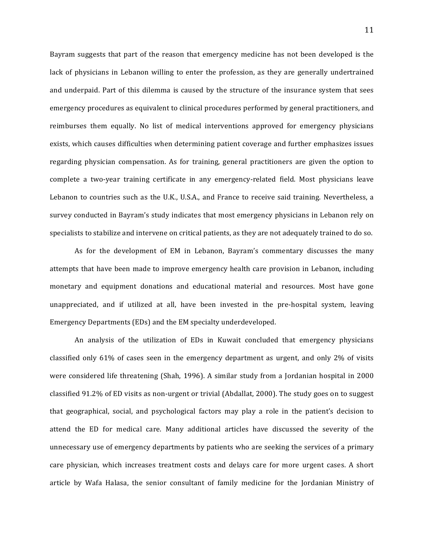Bayram suggests that part of the reason that emergency medicine has not been developed is the lack of physicians in Lebanon willing to enter the profession, as they are generally undertrained and underpaid. Part of this dilemma is caused by the structure of the insurance system that sees emergency procedures as equivalent to clinical procedures performed by general practitioners, and reimburses them equally. No list of medical interventions approved for emergency physicians exists, which causes difficulties when determining patient coverage and further emphasizes issues regarding physician compensation. As for training, general practitioners are given the option to complete a two-year training certificate in any emergency-related field. Most physicians leave Lebanon to countries such as the U.K., U.S.A., and France to receive said training. Nevertheless, a survey conducted in Bayram's study indicates that most emergency physicians in Lebanon rely on specialists to stabilize and intervene on critical patients, as they are not adequately trained to do so.

As for the development of EM in Lebanon, Bayram's commentary discusses the many attempts that have been made to improve emergency health care provision in Lebanon, including monetary and equipment donations and educational material and resources. Most have gone unappreciated, and if utilized at all, have been invested in the pre-hospital system, leaving Emergency Departments (EDs) and the EM specialty underdeveloped.

An analysis of the utilization of EDs in Kuwait concluded that emergency physicians classified only  $61\%$  of cases seen in the emergency department as urgent, and only  $2\%$  of visits were considered life threatening (Shah, 1996). A similar study from a Jordanian hospital in 2000 classified 91.2% of ED visits as non-urgent or trivial (Abdallat, 2000). The study goes on to suggest that geographical, social, and psychological factors may play a role in the patient's decision to attend the ED for medical care. Many additional articles have discussed the severity of the unnecessary use of emergency departments by patients who are seeking the services of a primary care physician, which increases treatment costs and delays care for more urgent cases. A short article by Wafa Halasa, the senior consultant of family medicine for the Jordanian Ministry of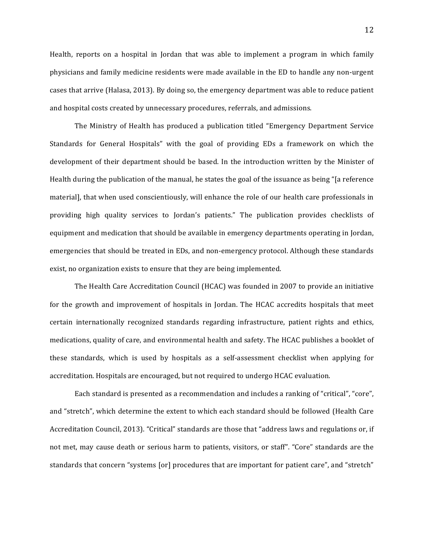Health, reports on a hospital in Jordan that was able to implement a program in which family physicians and family medicine residents were made available in the ED to handle any non-urgent cases that arrive (Halasa, 2013). By doing so, the emergency department was able to reduce patient and hospital costs created by unnecessary procedures, referrals, and admissions.

The Ministry of Health has produced a publication titled "Emergency Department Service Standards for General Hospitals" with the goal of providing EDs a framework on which the development of their department should be based. In the introduction written by the Minister of Health during the publication of the manual, he states the goal of the issuance as being "[a reference material], that when used conscientiously, will enhance the role of our health care professionals in providing high quality services to Jordan's patients." The publication provides checklists of equipment and medication that should be available in emergency departments operating in Jordan, emergencies that should be treated in EDs, and non-emergency protocol. Although these standards exist, no organization exists to ensure that they are being implemented.

The Health Care Accreditation Council (HCAC) was founded in 2007 to provide an initiative for the growth and improvement of hospitals in Jordan. The HCAC accredits hospitals that meet certain internationally recognized standards regarding infrastructure, patient rights and ethics, medications, quality of care, and environmental health and safety. The HCAC publishes a booklet of these standards, which is used by hospitals as a self-assessment checklist when applying for accreditation. Hospitals are encouraged, but not required to undergo HCAC evaluation.

Each standard is presented as a recommendation and includes a ranking of "critical", "core", and "stretch", which determine the extent to which each standard should be followed (Health Care Accreditation Council, 2013). "Critical" standards are those that "address laws and regulations or, if not met, may cause death or serious harm to patients, visitors, or staff". "Core" standards are the standards that concern "systems [or] procedures that are important for patient care", and "stretch"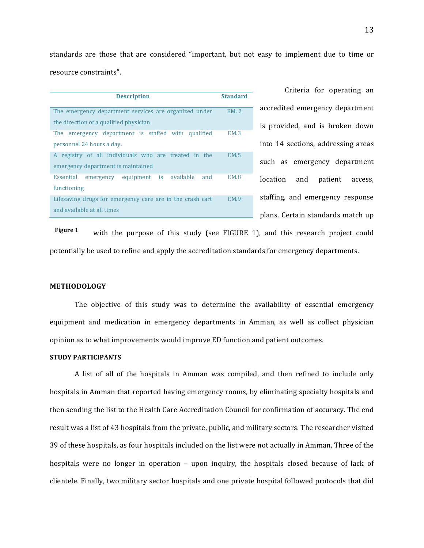standards are those that are considered "important, but not easy to implement due to time or resource constraints".

| <b>Description</b>                                        | <b>Standard</b> |
|-----------------------------------------------------------|-----------------|
| The emergency department services are organized under     | <b>EM. 2</b>    |
| the direction of a qualified physician                    |                 |
| The emergency department is staffed with qualified        | <b>EM.3</b>     |
| personnel 24 hours a day.                                 |                 |
| registry of all individuals who are treated in the<br>A   | <b>EM.5</b>     |
| emergency department is maintained                        |                 |
| emergency equipment is available<br>and<br>Essential      | EM.8            |
| functioning                                               |                 |
| Lifesaving drugs for emergency care are in the crash cart | EM 9            |
| and available at all times                                |                 |

Criteria for operating an accredited emergency department is provided, and is broken down into 14 sections, addressing areas such as emergency department location and patient access, staffing, and emergency response plans. Certain standards match up

with the purpose of this study (see FIGURE 1), and this research project could potentially be used to refine and apply the accreditation standards for emergency departments. **Figure 1** 

#### **METHODOLOGY**

The objective of this study was to determine the availability of essential emergency equipment and medication in emergency departments in Amman, as well as collect physician opinion as to what improvements would improve ED function and patient outcomes.

#### **STUDY PARTICIPANTS**

A list of all of the hospitals in Amman was compiled, and then refined to include only hospitals in Amman that reported having emergency rooms, by eliminating specialty hospitals and then sending the list to the Health Care Accreditation Council for confirmation of accuracy. The end result was a list of 43 hospitals from the private, public, and military sectors. The researcher visited 39 of these hospitals, as four hospitals included on the list were not actually in Amman. Three of the hospitals were no longer in operation  $-$  upon inquiry, the hospitals closed because of lack of clientele. Finally, two military sector hospitals and one private hospital followed protocols that did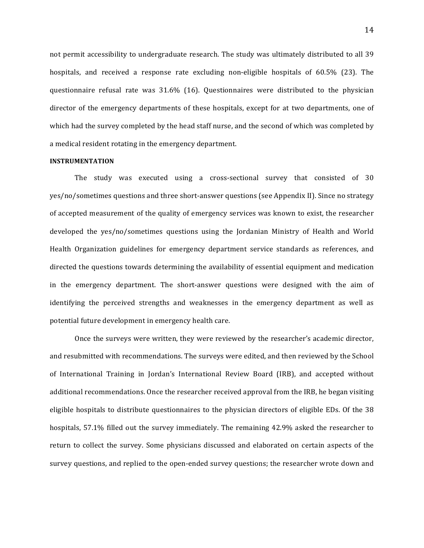not permit accessibility to undergraduate research. The study was ultimately distributed to all 39 hospitals, and received a response rate excluding non-eligible hospitals of 60.5% (23). The questionnaire refusal rate was  $31.6\%$  (16). Questionnaires were distributed to the physician director of the emergency departments of these hospitals, except for at two departments, one of which had the survey completed by the head staff nurse, and the second of which was completed by a medical resident rotating in the emergency department.

#### **INSTRUMENTATION**

The study was executed using a cross-sectional survey that consisted of  $30$ yes/no/sometimes questions and three short-answer questions (see Appendix II). Since no strategy of accepted measurement of the quality of emergency services was known to exist, the researcher developed the yes/no/sometimes questions using the Jordanian Ministry of Health and World Health Organization guidelines for emergency department service standards as references, and directed the questions towards determining the availability of essential equipment and medication in the emergency department. The short-answer questions were designed with the aim of identifying the perceived strengths and weaknesses in the emergency department as well as potential future development in emergency health care.

Once the surveys were written, they were reviewed by the researcher's academic director, and resubmitted with recommendations. The surveys were edited, and then reviewed by the School of International Training in Jordan's International Review Board (IRB), and accepted without additional recommendations. Once the researcher received approval from the IRB, he began visiting eligible hospitals to distribute questionnaires to the physician directors of eligible EDs. Of the 38 hospitals, 57.1% filled out the survey immediately. The remaining 42.9% asked the researcher to return to collect the survey. Some physicians discussed and elaborated on certain aspects of the survey questions, and replied to the open-ended survey questions; the researcher wrote down and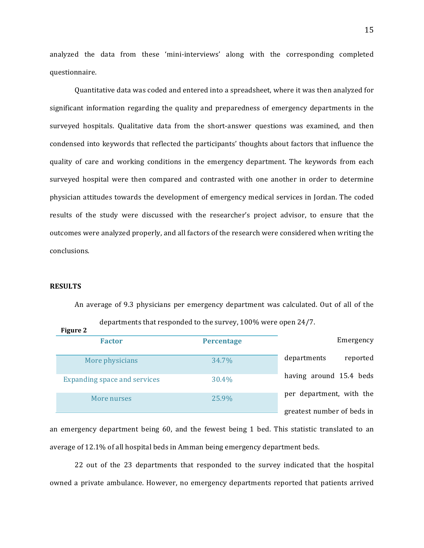analyzed the data from these 'mini-interviews' along with the corresponding completed questionnaire. 

Quantitative data was coded and entered into a spreadsheet, where it was then analyzed for significant information regarding the quality and preparedness of emergency departments in the surveyed hospitals. Qualitative data from the short-answer questions was examined, and then condensed into keywords that reflected the participants' thoughts about factors that influence the quality of care and working conditions in the emergency department. The keywords from each surveyed hospital were then compared and contrasted with one another in order to determine physician attitudes towards the development of emergency medical services in Jordan. The coded results of the study were discussed with the researcher's project advisor, to ensure that the outcomes were analyzed properly, and all factors of the research were considered when writing the conclusions.

#### **RESULTS**

An average of 9.3 physicians per emergency department was calculated. Out of all of the departments that responded to the survey, 100% were open 24/7. **Figure** 2

|                            |                   | rigule 4                     |
|----------------------------|-------------------|------------------------------|
| Emergency                  | <b>Percentage</b> | <b>Factor</b>                |
| reported<br>departments    | 34.7%             | More physicians              |
| having around 15.4 beds    | 30.4%             | Expanding space and services |
| per department, with the   | 25.9%             | More nurses                  |
| greatest number of beds in |                   |                              |

an emergency department being 60, and the fewest being 1 bed. This statistic translated to an average of 12.1% of all hospital beds in Amman being emergency department beds.

22 out of the 23 departments that responded to the survey indicated that the hospital owned a private ambulance. However, no emergency departments reported that patients arrived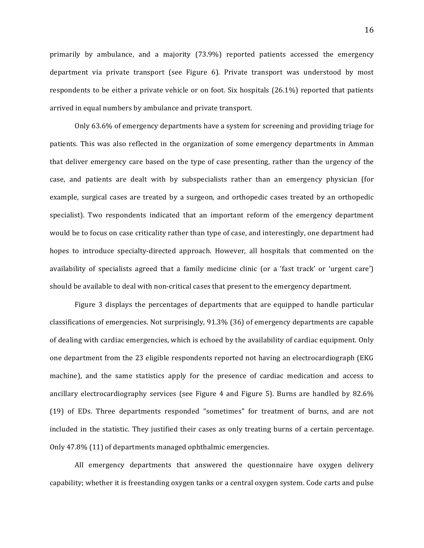primarily by ambulance, and a majority  $(73.9\%)$  reported patients accessed the emergency department via private transport (see Figure 6). Private transport was understood by most respondents to be either a private vehicle or on foot. Six hospitals  $(26.1\%)$  reported that patients arrived in equal numbers by ambulance and private transport.

Only 63.6% of emergency departments have a system for screening and providing triage for patients. This was also reflected in the organization of some emergency departments in Amman that deliver emergency care based on the type of case presenting, rather than the urgency of the case, and patients are dealt with by subspecialists rather than an emergency physician (for example, surgical cases are treated by a surgeon, and orthopedic cases treated by an orthopedic specialist). Two respondents indicated that an important reform of the emergency department would be to focus on case criticality rather than type of case, and interestingly, one department had hopes to introduce specialty-directed approach. However, all hospitals that commented on the availability of specialists agreed that a family medicine clinic (or a 'fast track' or 'urgent care') should be available to deal with non-critical cases that present to the emergency department.

Figure 3 displays the percentages of departments that are equipped to handle particular classifications of emergencies. Not surprisingly,  $91.3\%$  (36) of emergency departments are capable of dealing with cardiac emergencies, which is echoed by the availability of cardiac equipment. Only one department from the 23 eligible respondents reported not having an electrocardiograph (EKG) machine), and the same statistics apply for the presence of cardiac medication and access to ancillary electrocardiography services (see Figure 4 and Figure 5). Burns are handled by  $82.6\%$ (19) of EDs. Three departments responded "sometimes" for treatment of burns, and are not included in the statistic. They justified their cases as only treating burns of a certain percentage. Only 47.8% (11) of departments managed ophthalmic emergencies.

All emergency departments that answered the questionnaire have oxygen delivery capability; whether it is freestanding oxygen tanks or a central oxygen system. Code carts and pulse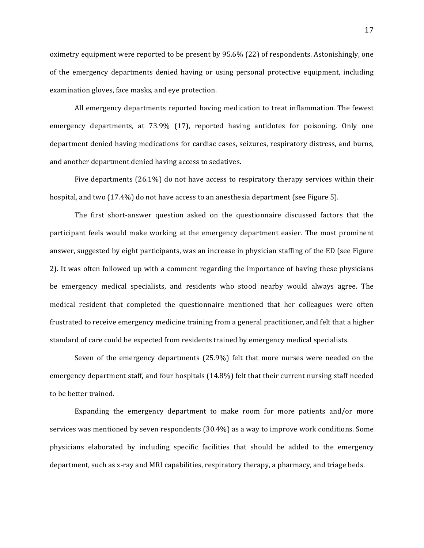oximetry equipment were reported to be present by  $95.6\%$  (22) of respondents. Astonishingly, one of the emergency departments denied having or using personal protective equipment, including examination gloves, face masks, and eye protection.

All emergency departments reported having medication to treat inflammation. The fewest emergency departments, at 73.9% (17), reported having antidotes for poisoning. Only one department denied having medications for cardiac cases, seizures, respiratory distress, and burns, and another department denied having access to sedatives.

Five departments  $(26.1\%)$  do not have access to respiratory therapy services within their hospital, and two  $(17.4\%)$  do not have access to an anesthesia department (see Figure 5).

The first short-answer question asked on the questionnaire discussed factors that the participant feels would make working at the emergency department easier. The most prominent answer, suggested by eight participants, was an increase in physician staffing of the ED (see Figure 2). It was often followed up with a comment regarding the importance of having these physicians be emergency medical specialists, and residents who stood nearby would always agree. The medical resident that completed the questionnaire mentioned that her colleagues were often frustrated to receive emergency medicine training from a general practitioner, and felt that a higher standard of care could be expected from residents trained by emergency medical specialists.

Seven of the emergency departments  $(25.9%)$  felt that more nurses were needed on the emergency department staff, and four hospitals (14.8%) felt that their current nursing staff needed to be better trained.

Expanding the emergency department to make room for more patients and/or more services was mentioned by seven respondents  $(30.4\%)$  as a way to improve work conditions. Some physicians elaborated by including specific facilities that should be added to the emergency department, such as x-ray and MRI capabilities, respiratory therapy, a pharmacy, and triage beds.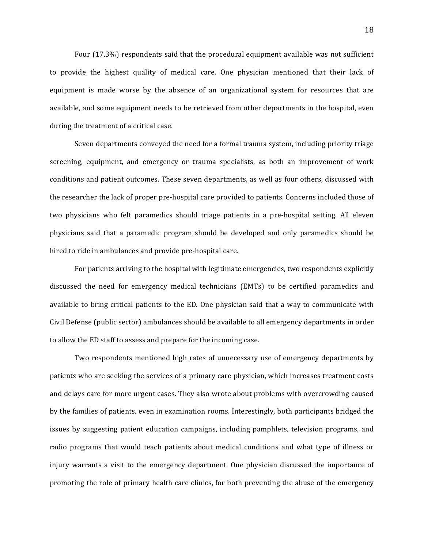Four  $(17.3\%)$  respondents said that the procedural equipment available was not sufficient to provide the highest quality of medical care. One physician mentioned that their lack of equipment is made worse by the absence of an organizational system for resources that are available, and some equipment needs to be retrieved from other departments in the hospital, even during the treatment of a critical case.

Seven departments conveyed the need for a formal trauma system, including priority triage screening, equipment, and emergency or trauma specialists, as both an improvement of work conditions and patient outcomes. These seven departments, as well as four others, discussed with the researcher the lack of proper pre-hospital care provided to patients. Concerns included those of two physicians who felt paramedics should triage patients in a pre-hospital setting. All eleven physicians said that a paramedic program should be developed and only paramedics should be hired to ride in ambulances and provide pre-hospital care.

For patients arriving to the hospital with legitimate emergencies, two respondents explicitly discussed the need for emergency medical technicians (EMTs) to be certified paramedics and available to bring critical patients to the ED. One physician said that a way to communicate with Civil Defense (public sector) ambulances should be available to all emergency departments in order to allow the ED staff to assess and prepare for the incoming case.

Two respondents mentioned high rates of unnecessary use of emergency departments by patients who are seeking the services of a primary care physician, which increases treatment costs and delays care for more urgent cases. They also wrote about problems with overcrowding caused by the families of patients, even in examination rooms. Interestingly, both participants bridged the issues by suggesting patient education campaigns, including pamphlets, television programs, and radio programs that would teach patients about medical conditions and what type of illness or injury warrants a visit to the emergency department. One physician discussed the importance of promoting the role of primary health care clinics, for both preventing the abuse of the emergency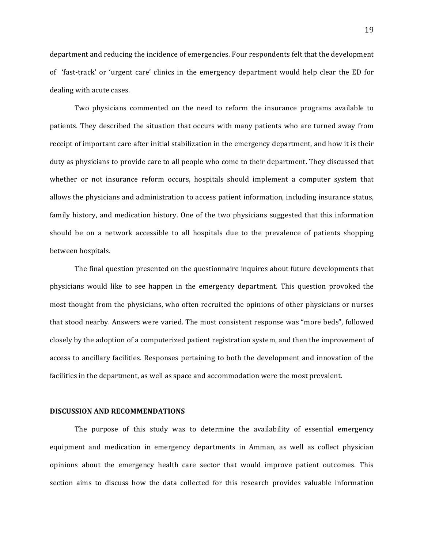department and reducing the incidence of emergencies. Four respondents felt that the development of 'fast-track' or 'urgent care' clinics in the emergency department would help clear the ED for dealing with acute cases.

Two physicians commented on the need to reform the insurance programs available to patients. They described the situation that occurs with many patients who are turned away from receipt of important care after initial stabilization in the emergency department, and how it is their duty as physicians to provide care to all people who come to their department. They discussed that whether or not insurance reform occurs, hospitals should implement a computer system that allows the physicians and administration to access patient information, including insurance status, family history, and medication history. One of the two physicians suggested that this information should be on a network accessible to all hospitals due to the prevalence of patients shopping between hospitals.

The final question presented on the questionnaire inquires about future developments that physicians would like to see happen in the emergency department. This question provoked the most thought from the physicians, who often recruited the opinions of other physicians or nurses that stood nearby. Answers were varied. The most consistent response was "more beds", followed closely by the adoption of a computerized patient registration system, and then the improvement of access to ancillary facilities. Responses pertaining to both the development and innovation of the facilities in the department, as well as space and accommodation were the most prevalent.

#### **DISCUSSION AND RECOMMENDATIONS**

The purpose of this study was to determine the availability of essential emergency equipment and medication in emergency departments in Amman, as well as collect physician opinions about the emergency health care sector that would improve patient outcomes. This section aims to discuss how the data collected for this research provides valuable information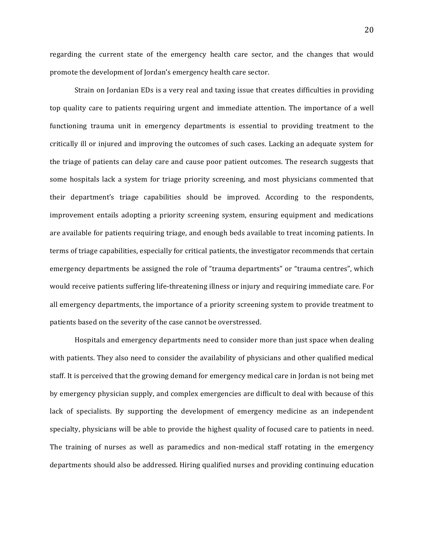regarding the current state of the emergency health care sector, and the changes that would promote the development of Jordan's emergency health care sector.

Strain on Jordanian EDs is a very real and taxing issue that creates difficulties in providing top quality care to patients requiring urgent and immediate attention. The importance of a well functioning trauma unit in emergency departments is essential to providing treatment to the critically ill or injured and improving the outcomes of such cases. Lacking an adequate system for the triage of patients can delay care and cause poor patient outcomes. The research suggests that some hospitals lack a system for triage priority screening, and most physicians commented that their department's triage capabilities should be improved. According to the respondents, improvement entails adopting a priority screening system, ensuring equipment and medications are available for patients requiring triage, and enough beds available to treat incoming patients. In terms of triage capabilities, especially for critical patients, the investigator recommends that certain emergency departments be assigned the role of "trauma departments" or "trauma centres", which would receive patients suffering life-threatening illness or injury and requiring immediate care. For all emergency departments, the importance of a priority screening system to provide treatment to patients based on the severity of the case cannot be overstressed.

Hospitals and emergency departments need to consider more than just space when dealing with patients. They also need to consider the availability of physicians and other qualified medical staff. It is perceived that the growing demand for emergency medical care in Jordan is not being met by emergency physician supply, and complex emergencies are difficult to deal with because of this lack of specialists. By supporting the development of emergency medicine as an independent specialty, physicians will be able to provide the highest quality of focused care to patients in need. The training of nurses as well as paramedics and non-medical staff rotating in the emergency departments should also be addressed. Hiring qualified nurses and providing continuing education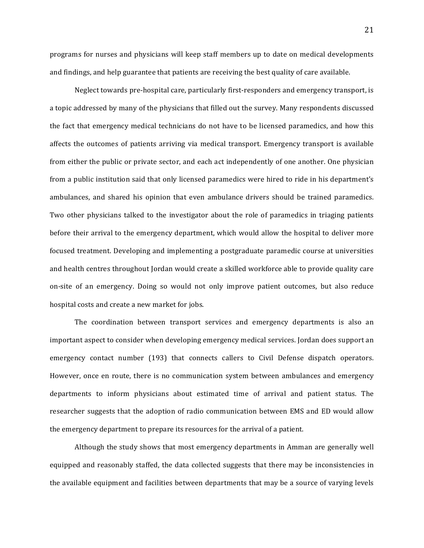programs for nurses and physicians will keep staff members up to date on medical developments and findings, and help guarantee that patients are receiving the best quality of care available.

Neglect towards pre-hospital care, particularly first-responders and emergency transport, is a topic addressed by many of the physicians that filled out the survey. Many respondents discussed the fact that emergency medical technicians do not have to be licensed paramedics, and how this affects the outcomes of patients arriving via medical transport. Emergency transport is available from either the public or private sector, and each act independently of one another. One physician from a public institution said that only licensed paramedics were hired to ride in his department's ambulances, and shared his opinion that even ambulance drivers should be trained paramedics. Two other physicians talked to the investigator about the role of paramedics in triaging patients before their arrival to the emergency department, which would allow the hospital to deliver more focused treatment. Developing and implementing a postgraduate paramedic course at universities and health centres throughout Jordan would create a skilled workforce able to provide quality care on-site of an emergency. Doing so would not only improve patient outcomes, but also reduce hospital costs and create a new market for jobs.

The coordination between transport services and emergency departments is also an important aspect to consider when developing emergency medical services. Jordan does support an emergency contact number (193) that connects callers to Civil Defense dispatch operators. However, once en route, there is no communication system between ambulances and emergency departments to inform physicians about estimated time of arrival and patient status. The researcher suggests that the adoption of radio communication between EMS and ED would allow the emergency department to prepare its resources for the arrival of a patient.

Although the study shows that most emergency departments in Amman are generally well equipped and reasonably staffed, the data collected suggests that there may be inconsistencies in the available equipment and facilities between departments that may be a source of varying levels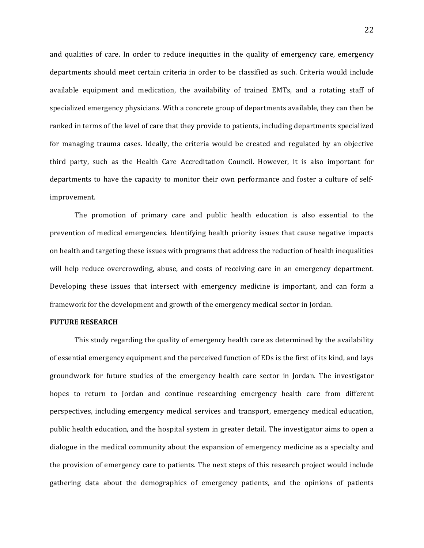and qualities of care. In order to reduce inequities in the quality of emergency care, emergency departments should meet certain criteria in order to be classified as such. Criteria would include available equipment and medication, the availability of trained EMTs, and a rotating staff of specialized emergency physicians. With a concrete group of departments available, they can then be ranked in terms of the level of care that they provide to patients, including departments specialized for managing trauma cases. Ideally, the criteria would be created and regulated by an objective third party, such as the Health Care Accreditation Council. However, it is also important for departments to have the capacity to monitor their own performance and foster a culture of selfimprovement.

The promotion of primary care and public health education is also essential to the prevention of medical emergencies. Identifying health priority issues that cause negative impacts on health and targeting these issues with programs that address the reduction of health inequalities will help reduce overcrowding, abuse, and costs of receiving care in an emergency department. Developing these issues that intersect with emergency medicine is important, and can form a framework for the development and growth of the emergency medical sector in Jordan.

#### **FUTURE RESEARCH**

This study regarding the quality of emergency health care as determined by the availability of essential emergency equipment and the perceived function of EDs is the first of its kind, and lays groundwork for future studies of the emergency health care sector in Jordan. The investigator hopes to return to Jordan and continue researching emergency health care from different perspectives, including emergency medical services and transport, emergency medical education, public health education, and the hospital system in greater detail. The investigator aims to open a dialogue in the medical community about the expansion of emergency medicine as a specialty and the provision of emergency care to patients. The next steps of this research project would include gathering data about the demographics of emergency patients, and the opinions of patients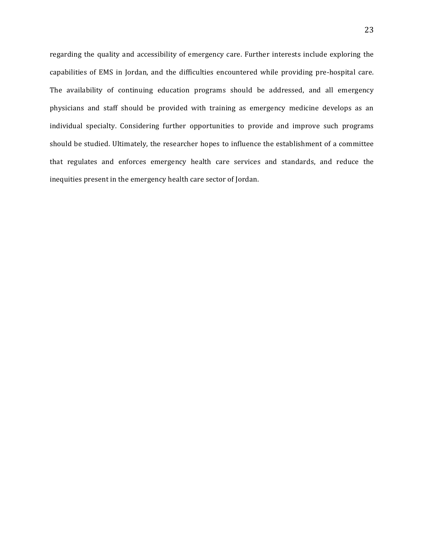regarding the quality and accessibility of emergency care. Further interests include exploring the capabilities of EMS in Jordan, and the difficulties encountered while providing pre-hospital care. The availability of continuing education programs should be addressed, and all emergency physicians and staff should be provided with training as emergency medicine develops as an individual specialty. Considering further opportunities to provide and improve such programs should be studied. Ultimately, the researcher hopes to influence the establishment of a committee that regulates and enforces emergency health care services and standards, and reduce the inequities present in the emergency health care sector of Jordan.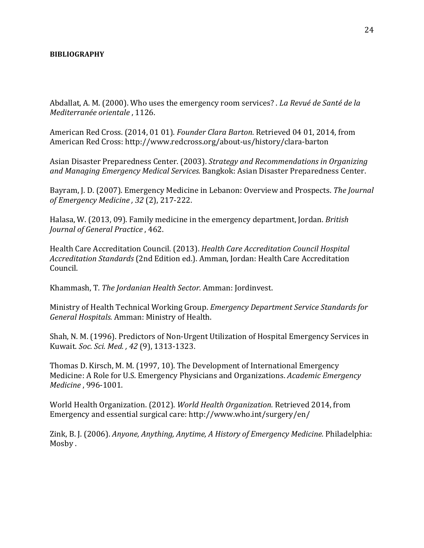#### **BIBLIOGRAPHY**

Abdallat, A. M. (2000). Who uses the emergency room services? . *La Revué de Santé de la Mediterranée orientale* , 1126.

American Red Cross. (2014, 01 01). *Founder Clara Barton*. Retrieved 04 01, 2014, from American Red Cross: http://www.redcross.org/about-us/history/clara-barton

Asian Disaster Preparedness Center. (2003). *Strategy and Recommendations in Organizing* and Managing Emergency Medical Services. Bangkok: Asian Disaster Preparedness Center.

Bayram, J. D. (2007). Emergency Medicine in Lebanon: Overview and Prospects. The Journal *of Emergency Medicine , 32* (2), 217-222.

Halasa, W. (2013, 09). Family medicine in the emergency department, Jordan. *British Journal of General Practice*, 462.

Health Care Accreditation Council. (2013). *Health Care Accreditation Council Hospital* Accreditation Standards (2nd Edition ed.). Amman, Jordan: Health Care Accreditation Council.

Khammash, T. *The Jordanian Health Sector.* Amman: Jordinvest.

Ministry of Health Technical Working Group. *Emergency Department Service Standards for* General Hospitals. Amman: Ministry of Health.

Shah, N. M. (1996). Predictors of Non-Urgent Utilization of Hospital Emergency Services in Kuwait. *Soc. Sci. Med.* , 42 (9), 1313-1323.

Thomas D. Kirsch, M. M. (1997, 10). The Development of International Emergency Medicine: A Role for U.S. Emergency Physicians and Organizations. *Academic Emergency Medicine* , 996-1001.

World Health Organization. (2012). *World Health Organization*. Retrieved 2014, from Emergency and essential surgical care: http://www.who.int/surgery/en/

Zink, B. J. (2006). *Anyone, Anything, Anytime, A History of Emergency Medicine.* Philadelphia: Mosby.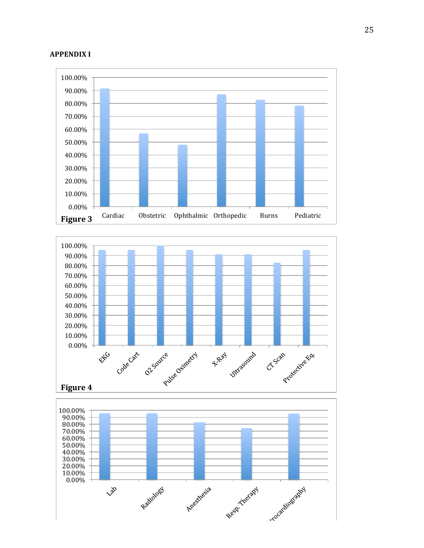#### **APPENDIX I**







25

## **Figure 5**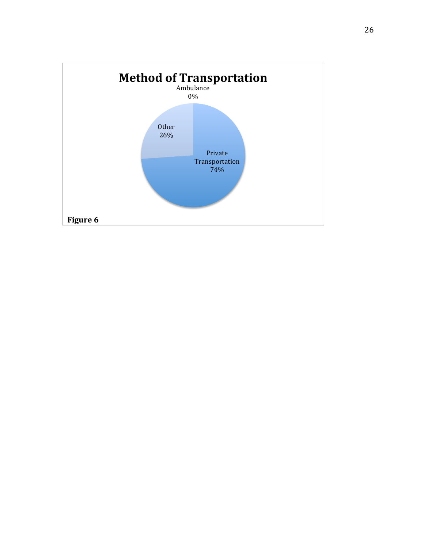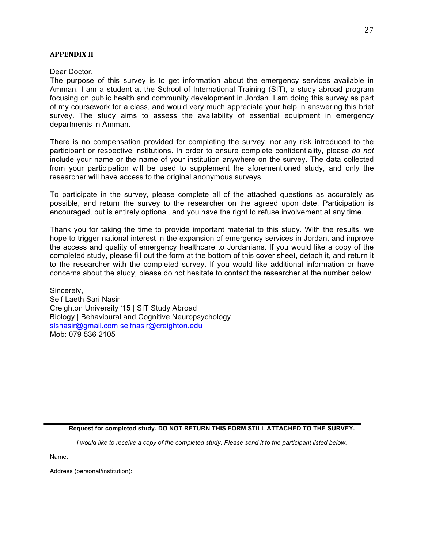#### **APPENDIX II**

Dear Doctor,

The purpose of this survey is to get information about the emergency services available in Amman. I am a student at the School of International Training (SIT), a study abroad program focusing on public health and community development in Jordan. I am doing this survey as part of my coursework for a class, and would very much appreciate your help in answering this brief survey. The study aims to assess the availability of essential equipment in emergency departments in Amman.

There is no compensation provided for completing the survey, nor any risk introduced to the participant or respective institutions. In order to ensure complete confidentiality, please *do not* include your name or the name of your institution anywhere on the survey. The data collected from your participation will be used to supplement the aforementioned study, and only the researcher will have access to the original anonymous surveys.

To participate in the survey, please complete all of the attached questions as accurately as possible, and return the survey to the researcher on the agreed upon date. Participation is encouraged, but is entirely optional, and you have the right to refuse involvement at any time.

Thank you for taking the time to provide important material to this study. With the results, we hope to trigger national interest in the expansion of emergency services in Jordan, and improve the access and quality of emergency healthcare to Jordanians. If you would like a copy of the completed study, please fill out the form at the bottom of this cover sheet, detach it, and return it to the researcher with the completed survey. If you would like additional information or have concerns about the study, please do not hesitate to contact the researcher at the number below.

Sincerely, Seif Laeth Sari Nasir Creighton University '15 | SIT Study Abroad Biology | Behavioural and Cognitive Neuropsychology slsnasir@gmail.com seifnasir@creighton.edu Mob: 079 536 2105

**Request for completed study. DO NOT RETURN THIS FORM STILL ATTACHED TO THE SURVEY.**

*I would like to receive a copy of the completed study. Please send it to the participant listed below.*

Name:

Address (personal/institution):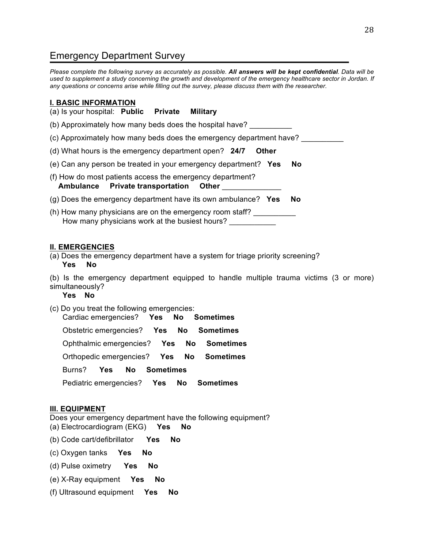## Emergency Department Survey

*Please complete the following survey as accurately as possible. All answers will be kept confidential. Data will be used to supplement a study concerning the growth and development of the emergency healthcare sector in Jordan. If any questions or concerns arise while filling out the survey, please discuss them with the researcher.* 

#### **I. BASIC INFORMATION**

(a) Is your hospital: **Public Private Military**

(b) Approximately how many beds does the hospital have?

(c) Approximately how many beds does the emergency department have?

(d) What hours is the emergency department open? **24/7 Other**

(e) Can any person be treated in your emergency department? **Yes No**

(f) How do most patients access the emergency department?  **Ambulance Private transportation Other** \_\_\_\_\_\_\_\_\_\_\_\_\_\_

- (g) Does the emergency department have its own ambulance? **Yes No**
- (h) How many physicians are on the emergency room staff? How many physicians work at the busiest hours?

#### **II. EMERGENCIES**

(a) Does the emergency department have a system for triage priority screening? **Yes No** 

(b) Is the emergency department equipped to handle multiple trauma victims (3 or more) simultaneously?

 **Yes No** 

(c) Do you treat the following emergencies: Cardiac emergencies? **Yes No Sometimes**

Obstetric emergencies? **Yes No Sometimes**

Ophthalmic emergencies? **Yes No Sometimes**

Orthopedic emergencies? **Yes No Sometimes**

Burns? **Yes No Sometimes**

Pediatric emergencies? **Yes No Sometimes**

#### **III. EQUIPMENT**

Does your emergency department have the following equipment? (a) Electrocardiogram (EKG) **Yes No**

(b) Code cart/defibrillator **Yes No**

(c) Oxygen tanks **Yes No**

- (d) Pulse oximetry **Yes No**
- (e) X-Ray equipment **Yes No**
- (f) Ultrasound equipment **Yes No**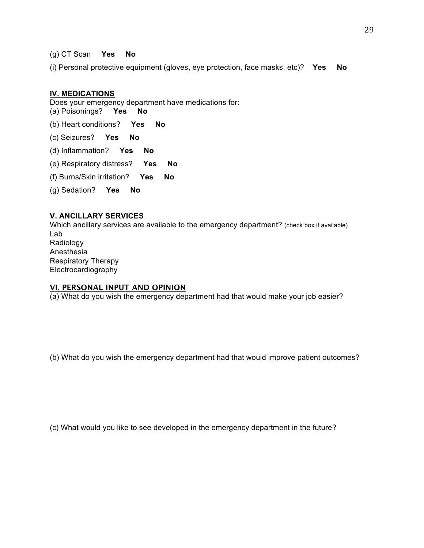(g) CT Scan **Yes No**

(i) Personal protective equipment (gloves, eye protection, face masks, etc)? **Yes No**

#### **IV. MEDICATIONS**

Does your emergency department have medications for: (a) Poisonings? **Yes No**

(b) Heart conditions? **Yes No**

- (c) Seizures? **Yes No**
- (d) Inflammation? **Yes No**
- (e) Respiratory distress? **Yes No**
- (f) Burns/Skin irritation? **Yes No**
- (g) Sedation? **Yes No**

#### **V. ANCILLARY SERVICES**

Which ancillary services are available to the emergency department? (check box if available) Lab Radiology Anesthesia Respiratory Therapy Electrocardiography

#### **VI. PERSONAL INPUT AND OPINION**

(a) What do you wish the emergency department had that would make your job easier?

(b) What do you wish the emergency department had that would improve patient outcomes?

(c) What would you like to see developed in the emergency department in the future?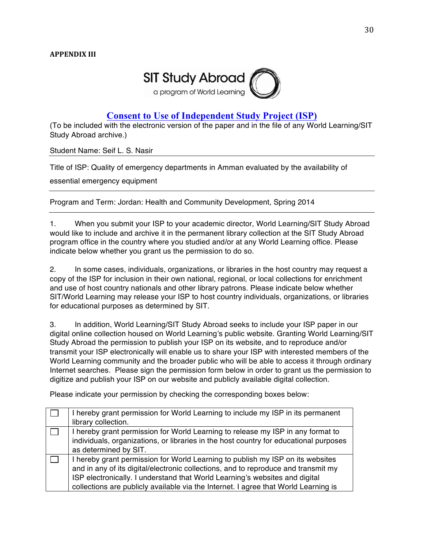

### **Consent to Use of Independent Study Project (ISP)**

(To be included with the electronic version of the paper and in the file of any World Learning/SIT Study Abroad archive.)

Student Name: Seif L. S. Nasir

Title of ISP: Quality of emergency departments in Amman evaluated by the availability of

essential emergency equipment

Program and Term: Jordan: Health and Community Development, Spring 2014

1. When you submit your ISP to your academic director, World Learning/SIT Study Abroad would like to include and archive it in the permanent library collection at the SIT Study Abroad program office in the country where you studied and/or at any World Learning office. Please indicate below whether you grant us the permission to do so.

2. In some cases, individuals, organizations, or libraries in the host country may request a copy of the ISP for inclusion in their own national, regional, or local collections for enrichment and use of host country nationals and other library patrons. Please indicate below whether SIT/World Learning may release your ISP to host country individuals, organizations, or libraries for educational purposes as determined by SIT.

3. In addition, World Learning/SIT Study Abroad seeks to include your ISP paper in our digital online collection housed on World Learning's public website. Granting World Learning/SIT Study Abroad the permission to publish your ISP on its website, and to reproduce and/or transmit your ISP electronically will enable us to share your ISP with interested members of the World Learning community and the broader public who will be able to access it through ordinary Internet searches. Please sign the permission form below in order to grant us the permission to digitize and publish your ISP on our website and publicly available digital collection.

Please indicate your permission by checking the corresponding boxes below:

| I hereby grant permission for World Learning to include my ISP in its permanent<br>library collection.                                                                                                                                                                                                                                     |
|--------------------------------------------------------------------------------------------------------------------------------------------------------------------------------------------------------------------------------------------------------------------------------------------------------------------------------------------|
| I hereby grant permission for World Learning to release my ISP in any format to<br>individuals, organizations, or libraries in the host country for educational purposes<br>as determined by SIT.                                                                                                                                          |
| I hereby grant permission for World Learning to publish my ISP on its websites<br>and in any of its digital/electronic collections, and to reproduce and transmit my<br>ISP electronically. I understand that World Learning's websites and digital<br>collections are publicly available via the Internet. I agree that World Learning is |